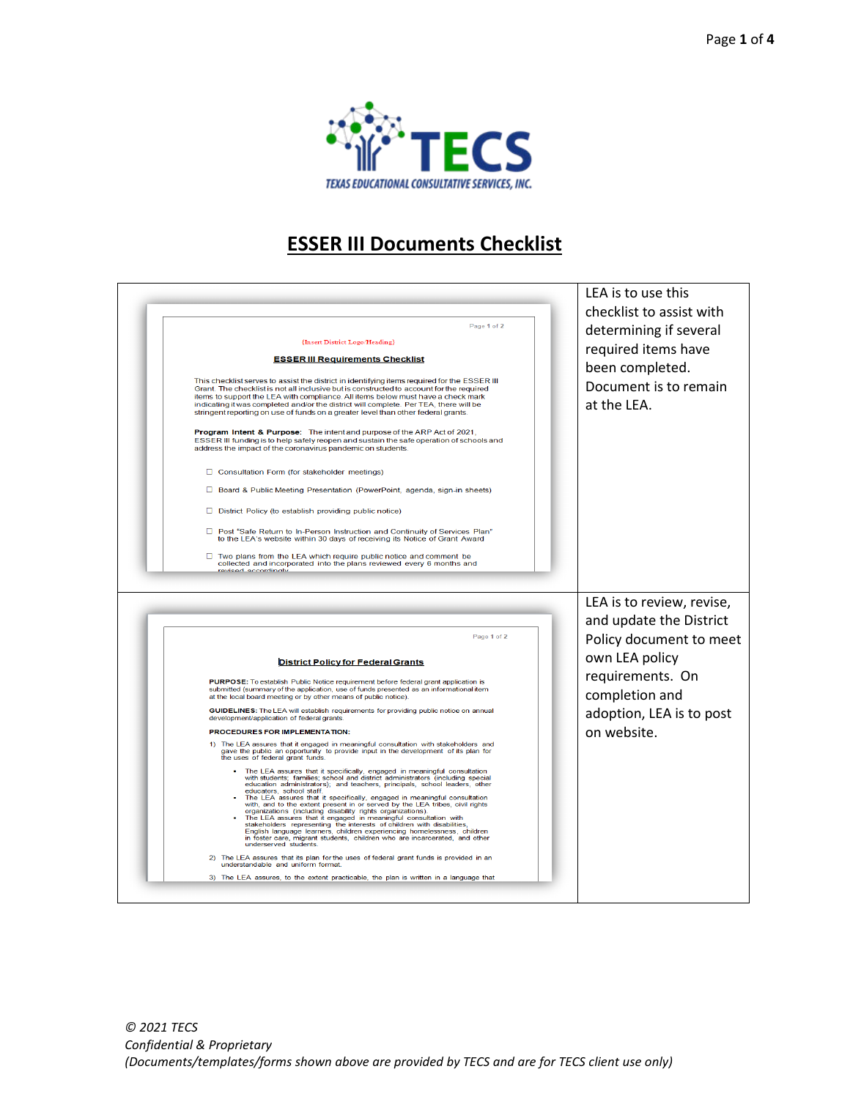

## **ESSER III Documents Checklist**

| Page 1 of 2<br>{Insert District Logo/Heading}<br><b>ESSER III Requirements Checklist</b><br>This checklist serves to assist the district in identifying items required for the ESSER III<br>Grant. The checklist is not all inclusive but is constructed to account for the required<br>items to support the LEA with compliance. All items below must have a check mark<br>indicating it was completed and/or the district will complete. Per TEA, there will be<br>stringent reporting on use of funds on a greater level than other federal grants.<br>Program Intent & Purpose: The intent and purpose of the ARP Act of 2021,<br>ESSER III funding is to help safely reopen and sustain the safe operation of schools and<br>address the impact of the coronavirus pandemic on students.<br>□ Consultation Form (for stakeholder meetings)                                                                                                                                                                                                                                                                                                                                                                                                                                                                                                                                                                                                                                                                                                                                                                                                                                                                                                                    | LEA is to use this<br>checklist to assist with<br>determining if several<br>required items have<br>been completed.<br>Document is to remain<br>at the LEA.                         |
|--------------------------------------------------------------------------------------------------------------------------------------------------------------------------------------------------------------------------------------------------------------------------------------------------------------------------------------------------------------------------------------------------------------------------------------------------------------------------------------------------------------------------------------------------------------------------------------------------------------------------------------------------------------------------------------------------------------------------------------------------------------------------------------------------------------------------------------------------------------------------------------------------------------------------------------------------------------------------------------------------------------------------------------------------------------------------------------------------------------------------------------------------------------------------------------------------------------------------------------------------------------------------------------------------------------------------------------------------------------------------------------------------------------------------------------------------------------------------------------------------------------------------------------------------------------------------------------------------------------------------------------------------------------------------------------------------------------------------------------------------------------------|------------------------------------------------------------------------------------------------------------------------------------------------------------------------------------|
| □ Board & Public Meeting Presentation (PowerPoint, agenda, sign-in sheets)<br>$\Box$ District Policy (to establish providing public notice)<br>Post "Safe Return to In-Person Instruction and Continuity of Services Plan"<br>to the LEA's website within 30 days of receiving its Notice of Grant Award<br>Two plans from the LEA which require public notice and comment be<br>collected and incorporated into the plans reviewed every 6 months and<br>avisad accordingly                                                                                                                                                                                                                                                                                                                                                                                                                                                                                                                                                                                                                                                                                                                                                                                                                                                                                                                                                                                                                                                                                                                                                                                                                                                                                       |                                                                                                                                                                                    |
| Page 1 of 2<br><b>District Policy for Federal Grants</b><br>PURPOSE: To establish Public Notice requirement before federal grant application is<br>submitted (summary of the application, use of funds presented as an informational item<br>at the local board meeting or by other means of public notice).<br>GUIDELINES: The LEA will establish requirements for providing public notice on annual<br>development/application of federal grants.<br>PROCEDURES FOR IMPLEMENTATION:<br>1) The LEA assures that it engaged in meaningful consultation with stakeholders and<br>gave the public an opportunity to provide input in the development of its plan for<br>the uses of federal grant funds.<br>The LEA assures that it specifically, engaged in meaningful consultation<br>with students; families; school and district administrators (including special<br>education administrators); and teachers, principals, school leaders, other<br>educators, school staff.<br>The LEA assures that it specifically, engaged in meaningful consultation<br>with, and to the extent present in or served by the LEA tribes, civil rights<br>organizations (including disability rights organizations)<br>The LEA assures that it engaged in meaningful consultation with<br>stakeholders representing the interests of children with disabilities,<br>English language learners, children experiencing homelessness, children<br>in foster care, migrant students, children who are incarcerated, and other<br>underserved students.<br>The LEA assures that its plan for the uses of federal grant funds is provided in an<br>2)<br>understandable and uniform format.<br>3) The LEA assures, to the extent practicable, the plan is written in a language that | LEA is to review, revise,<br>and update the District<br>Policy document to meet<br>own LEA policy<br>requirements. On<br>completion and<br>adoption, LEA is to post<br>on website. |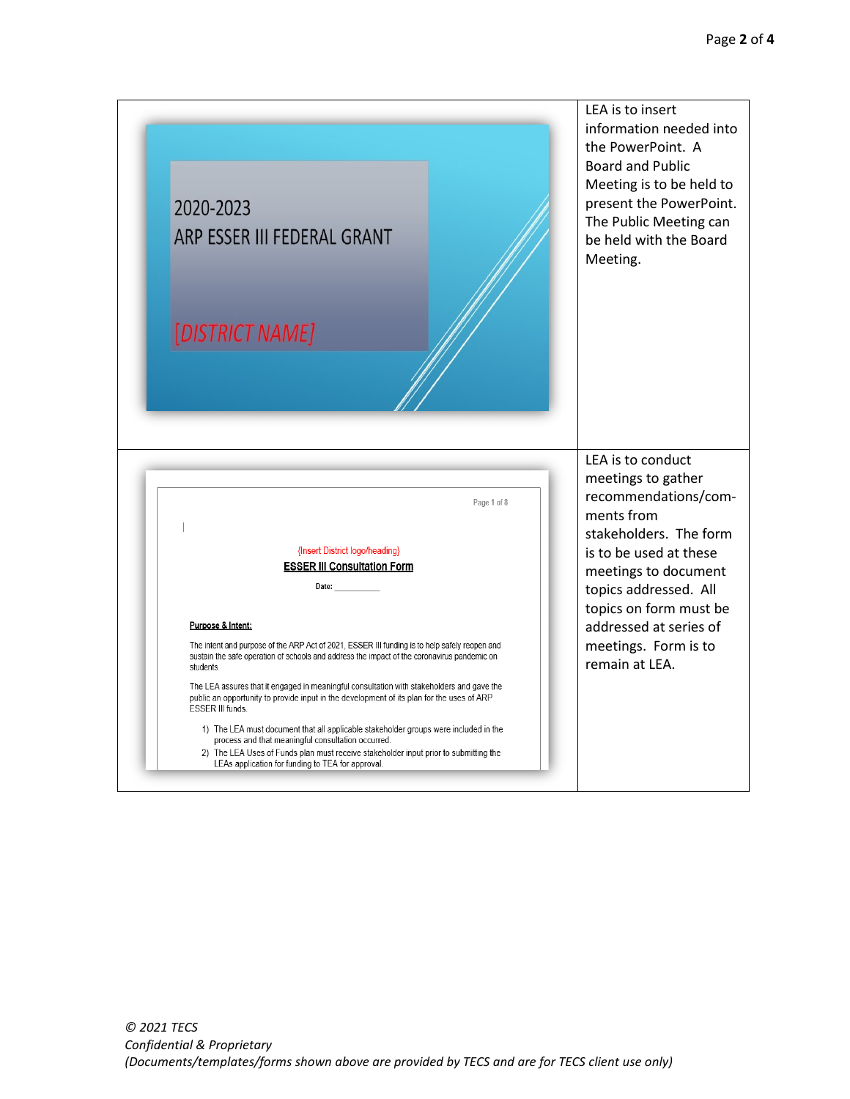|                                                                                                                                                                                                            | LEA is to insert<br>information needed into<br>the PowerPoint. A                                                                               |
|------------------------------------------------------------------------------------------------------------------------------------------------------------------------------------------------------------|------------------------------------------------------------------------------------------------------------------------------------------------|
| 2020-2023<br>ARP ESSER III FEDERAL GRANT                                                                                                                                                                   | <b>Board and Public</b><br>Meeting is to be held to<br>present the PowerPoint.<br>The Public Meeting can<br>be held with the Board<br>Meeting. |
| [DISTRICT NAME]                                                                                                                                                                                            |                                                                                                                                                |
|                                                                                                                                                                                                            |                                                                                                                                                |
|                                                                                                                                                                                                            |                                                                                                                                                |
| Page 1 of 8                                                                                                                                                                                                | LEA is to conduct<br>meetings to gather<br>recommendations/com-<br>ments from                                                                  |
| {Insert District logo/heading}<br><b>ESSER III Consultation Form</b><br>Date:                                                                                                                              | stakeholders. The form<br>is to be used at these<br>meetings to document<br>topics addressed. All                                              |
| Purpose & Intent:                                                                                                                                                                                          | topics on form must be<br>addressed at series of                                                                                               |
| The intent and purpose of the ARP Act of 2021, ESSER III funding is to help safely reopen and<br>sustain the safe operation of schools and address the impact of the coronavirus pandemic on<br>students.  | meetings. Form is to<br>remain at LEA.                                                                                                         |
| The LEA assures that it engaged in meaningful consultation with stakeholders and gave the<br>public an opportunity to provide input in the development of its plan for the uses of ARP<br>ESSER III funds. |                                                                                                                                                |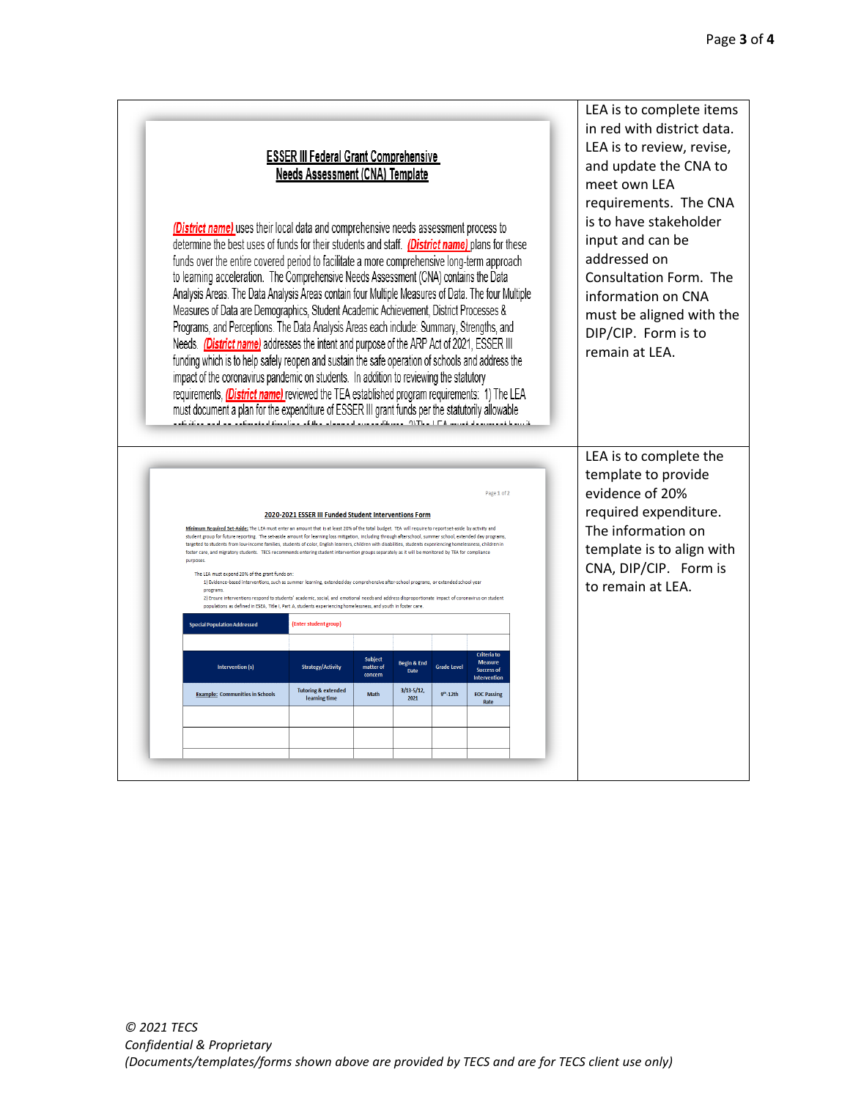